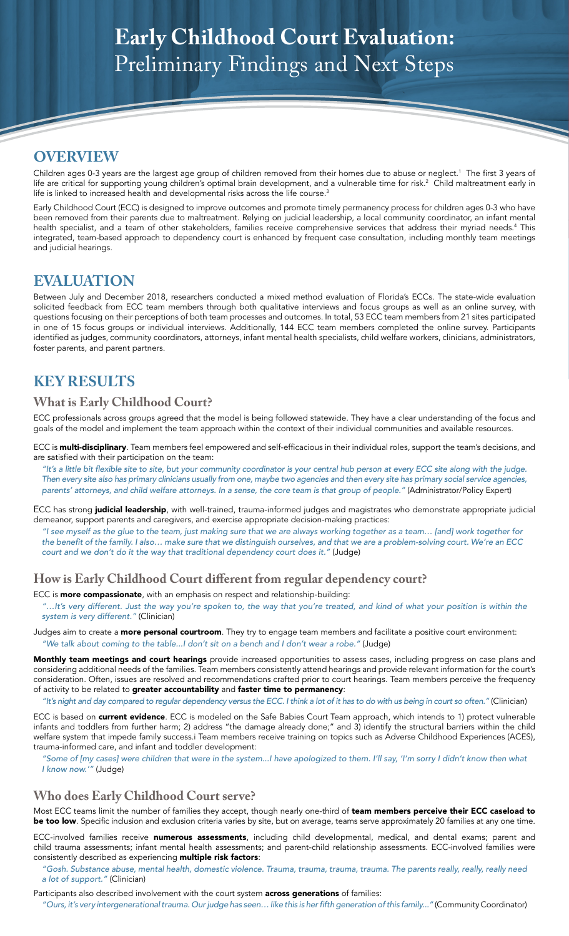# **Early Childhood Court Evaluation:**  Preliminary Findings and Next Steps

# **OVERVIEW**

Children ages 0-3 years are the largest age group of children removed from their homes due to abuse or neglect.1 The first 3 years of life are critical for supporting young children's optimal brain development, and a vulnerable time for risk.<sup>2</sup> Child maltreatment early in life is linked to increased health and developmental risks across the life course.<sup>3</sup>

Early Childhood Court (ECC) is designed to improve outcomes and promote timely permanency process for children ages 0-3 who have been removed from their parents due to maltreatment. Relying on judicial leadership, a local community coordinator, an infant mental health specialist, and a team of other stakeholders, families receive comprehensive services that address their myriad needs.4 This integrated, team-based approach to dependency court is enhanced by frequent case consultation, including monthly team meetings and judicial hearings.

## **EVALUATION**

Between July and December 2018, researchers conducted a mixed method evaluation of Florida's ECCs. The state-wide evaluation solicited feedback from ECC team members through both qualitative interviews and focus groups as well as an online survey, with questions focusing on their perceptions of both team processes and outcomes. In total, 53 ECC team members from 21 sites participated in one of 15 focus groups or individual interviews. Additionally, 144 ECC team members completed the online survey. Participants identified as judges, community coordinators, attorneys, infant mental health specialists, child welfare workers, clinicians, administrators, foster parents, and parent partners.

# **KEY RESULTS**

#### **What is Early Childhood Court?**

ECC professionals across groups agreed that the model is being followed statewide. They have a clear understanding of the focus and goals of the model and implement the team approach within the context of their individual communities and available resources.

ECC is **multi-disciplinary**. Team members feel empowered and self-efficacious in their individual roles, support the team's decisions, and are satisfied with their participation on the team:

"It's a little bit flexible site to site, but your community coordinator is your central hub person at every ECC site along with the judge. Then every site also has primary clinicians usually from one, maybe two agencies and then every site has primary social service agencies, parents' attorneys, and child welfare attorneys. In a sense, the core team is that group of people." (Administrator/Policy Expert)

ECC has strong judicial leadership, with well-trained, trauma-informed judges and magistrates who demonstrate appropriate judicial demeanor, support parents and caregivers, and exercise appropriate decision-making practices:

"I see myself as the glue to the team, just making sure that we are always working together as a team… [and] work together for the benefit of the family. I also… make sure that we distinguish ourselves, and that we are a problem-solving court. We're an ECC court and we don't do it the way that traditional dependency court does it." (Judge)

### **How is Early Childhood Court different from regular dependency court?**

ECC is **more compassionate**, with an emphasis on respect and relationship-building:

"…It's very different. Just the way you're spoken to, the way that you're treated, and kind of what your position is within the system is very different." (Clinician)

Judges aim to create a **more personal courtroom**. They try to engage team members and facilitate a positive court environment: "We talk about coming to the table...I don't sit on a bench and I don't wear a robe." (Judge)

Monthly team meetings and court hearings provide increased opportunities to assess cases, including progress on case plans and considering additional needs of the families. Team members consistently attend hearings and provide relevant information for the court's consideration. Often, issues are resolved and recommendations crafted prior to court hearings. Team members perceive the frequency of activity to be related to greater accountability and faster time to permanency:

"It's night and day compared to regular dependency versus the ECC. I think a lot of it has to do with us being in court so often." (Clinician)

ECC is based on **current evidence**. ECC is modeled on the Safe Babies Court Team approach, which intends to 1) protect vulnerable infants and toddlers from further harm; 2) address "the damage already done;" and 3) identify the structural barriers within the child welfare system that impede family success.i Team members receive training on topics such as Adverse Childhood Experiences (ACES), trauma-informed care, and infant and toddler development:

"Some of [my cases] were children that were in the system...I have apologized to them. I'll say, 'I'm sorry I didn't know then what I know now.'" (Judge)

### **Who does Early Childhood Court serve?**

Most ECC teams limit the number of families they accept, though nearly one-third of team members perceive their ECC caseload to be too low. Specific inclusion and exclusion criteria varies by site, but on average, teams serve approximately 20 families at any one time.

ECC-involved families receive numerous assessments, including child developmental, medical, and dental exams; parent and child trauma assessments; infant mental health assessments; and parent-child relationship assessments. ECC-involved families were consistently described as experiencing multiple risk factors:

"Gosh. Substance abuse, mental health, domestic violence. Trauma, trauma, trauma, trauma. The parents really, really, really need a lot of support." (Clinician)

Participants also described involvement with the court system **across generations** of families:

"Ours, it's very intergenerational trauma. Our judge has seen… like this is her fifth generation of this family..." (Community Coordinator)